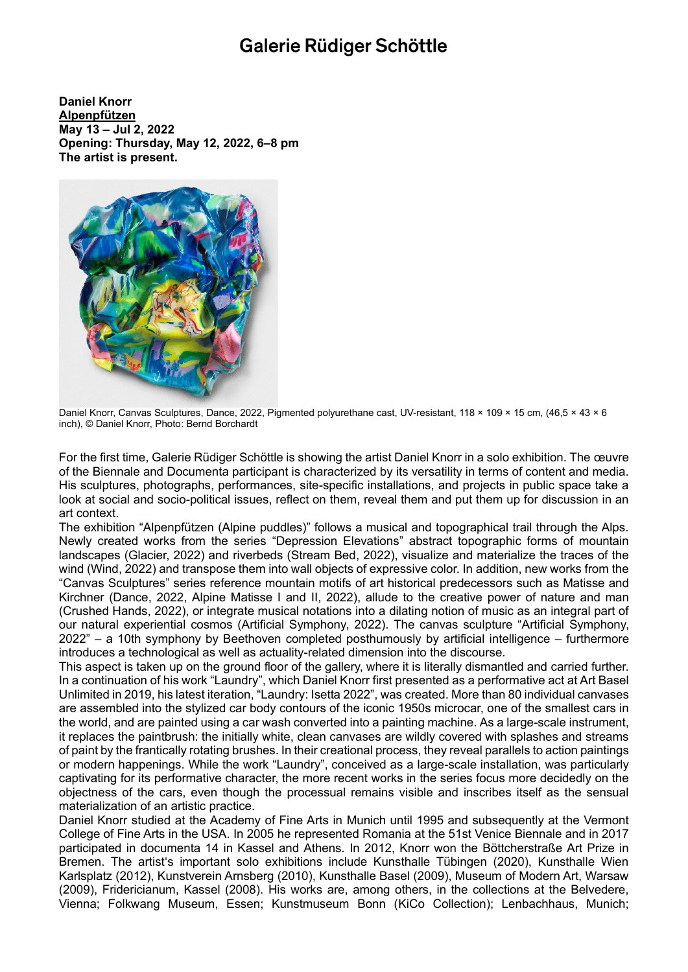## Galerie Rüdiger Schöttle

**Daniel Knorr Alpenpfützen May 13 – Jul 2, 2022 Opening: Thursday, May 12, 2022, 6–8 pm The artist is present.**



Daniel Knorr, Canvas Sculptures, Dance, 2022, Pigmented polyurethane cast, UV-resistant, 118 × 109 × 15 cm, (46,5 × 43 × 6 inch), © Daniel Knorr, Photo: Bernd Borchardt

For the first time, Galerie Rüdiger Schöttle is showing the artist Daniel Knorr in a solo exhibition. The œuvre of the Biennale and Documenta participant is characterized by its versatility in terms of content and media. His sculptures, photographs, performances, site-specific installations, and projects in public space take a look at social and socio-political issues, reflect on them, reveal them and put them up for discussion in an art context.

The exhibition "Alpenpfützen (Alpine puddles)" follows a musical and topographical trail through the Alps. Newly created works from the series "Depression Elevations" abstract topographic forms of mountain landscapes (Glacier, 2022) and riverbeds (Stream Bed, 2022), visualize and materialize the traces of the wind (Wind, 2022) and transpose them into wall objects of expressive color. In addition, new works from the "Canvas Sculptures" series reference mountain motifs of art historical predecessors such as Matisse and Kirchner (Dance, 2022, Alpine Matisse I and II, 2022), allude to the creative power of nature and man (Crushed Hands, 2022), or integrate musical notations into a dilating notion of music as an integral part of our natural experiential cosmos (Artificial Symphony, 2022). The canvas sculpture "Artificial Symphony, 2022" – a 10th symphony by Beethoven completed posthumously by artificial intelligence – furthermore introduces a technological as well as actuality-related dimension into the discourse.

This aspect is taken up on the ground floor of the gallery, where it is literally dismantled and carried further. In a continuation of his work "Laundry", which Daniel Knorr first presented as a performative act at Art Basel Unlimited in 2019, his latest iteration, "Laundry: Isetta 2022", was created. More than 80 individual canvases are assembled into the stylized car body contours of the iconic 1950s microcar, one of the smallest cars in the world, and are painted using a car wash converted into a painting machine. As a large-scale instrument, it replaces the paintbrush: the initially white, clean canvases are wildly covered with splashes and streams of paint by the frantically rotating brushes. In their creational process, they reveal parallels to action paintings or modern happenings. While the work "Laundry", conceived as a large-scale installation, was particularly captivating for its performative character, the more recent works in the series focus more decidedly on the objectness of the cars, even though the processual remains visible and inscribes itself as the sensual materialization of an artistic practice.

Daniel Knorr studied at the Academy of Fine Arts in Munich until 1995 and subsequently at the Vermont College of Fine Arts in the USA. In 2005 he represented Romania at the 51st Venice Biennale and in 2017 participated in documenta 14 in Kassel and Athens. In 2012, Knorr won the Böttcherstraße Art Prize in Bremen. The artist's important solo exhibitions include Kunsthalle Tübingen (2020), Kunsthalle Wien Karlsplatz (2012), Kunstverein Arnsberg (2010), Kunsthalle Basel (2009), Museum of Modern Art, Warsaw (2009), Fridericianum, Kassel (2008). His works are, among others, in the collections at the Belvedere, Vienna; Folkwang Museum, Essen; Kunstmuseum Bonn (KiCo Collection); Lenbachhaus, Munich;